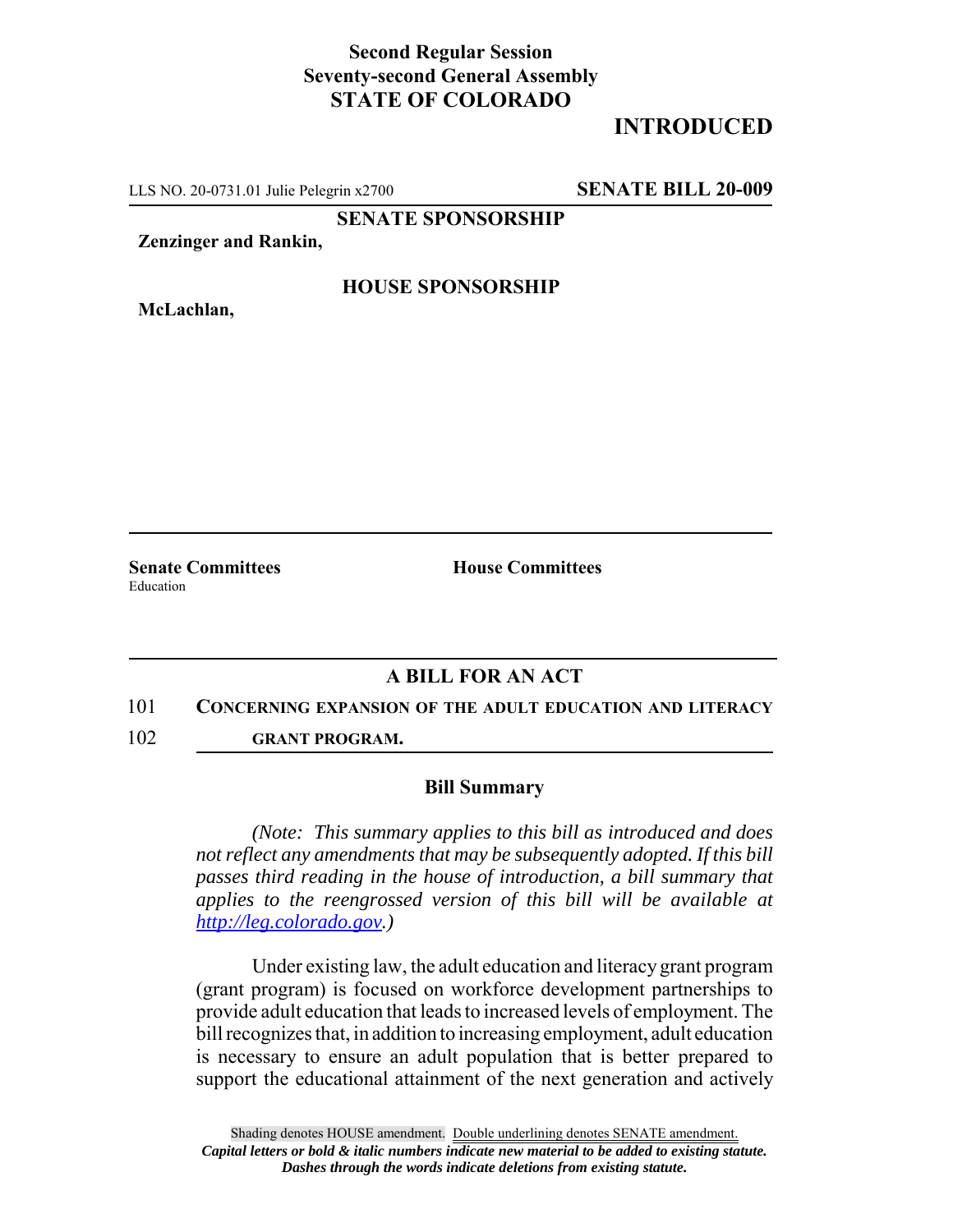## **Second Regular Session Seventy-second General Assembly STATE OF COLORADO**

# **INTRODUCED**

LLS NO. 20-0731.01 Julie Pelegrin x2700 **SENATE BILL 20-009**

**SENATE SPONSORSHIP**

**Zenzinger and Rankin,**

**McLachlan,**

## **HOUSE SPONSORSHIP**

**Senate Committees House Committees** Education

## **A BILL FOR AN ACT**

#### 101 **CONCERNING EXPANSION OF THE ADULT EDUCATION AND LITERACY**

102 **GRANT PROGRAM.**

### **Bill Summary**

*(Note: This summary applies to this bill as introduced and does not reflect any amendments that may be subsequently adopted. If this bill passes third reading in the house of introduction, a bill summary that applies to the reengrossed version of this bill will be available at http://leg.colorado.gov.)*

Under existing law, the adult education and literacy grant program (grant program) is focused on workforce development partnerships to provide adult education that leads to increased levels of employment. The bill recognizes that, in addition to increasing employment, adult education is necessary to ensure an adult population that is better prepared to support the educational attainment of the next generation and actively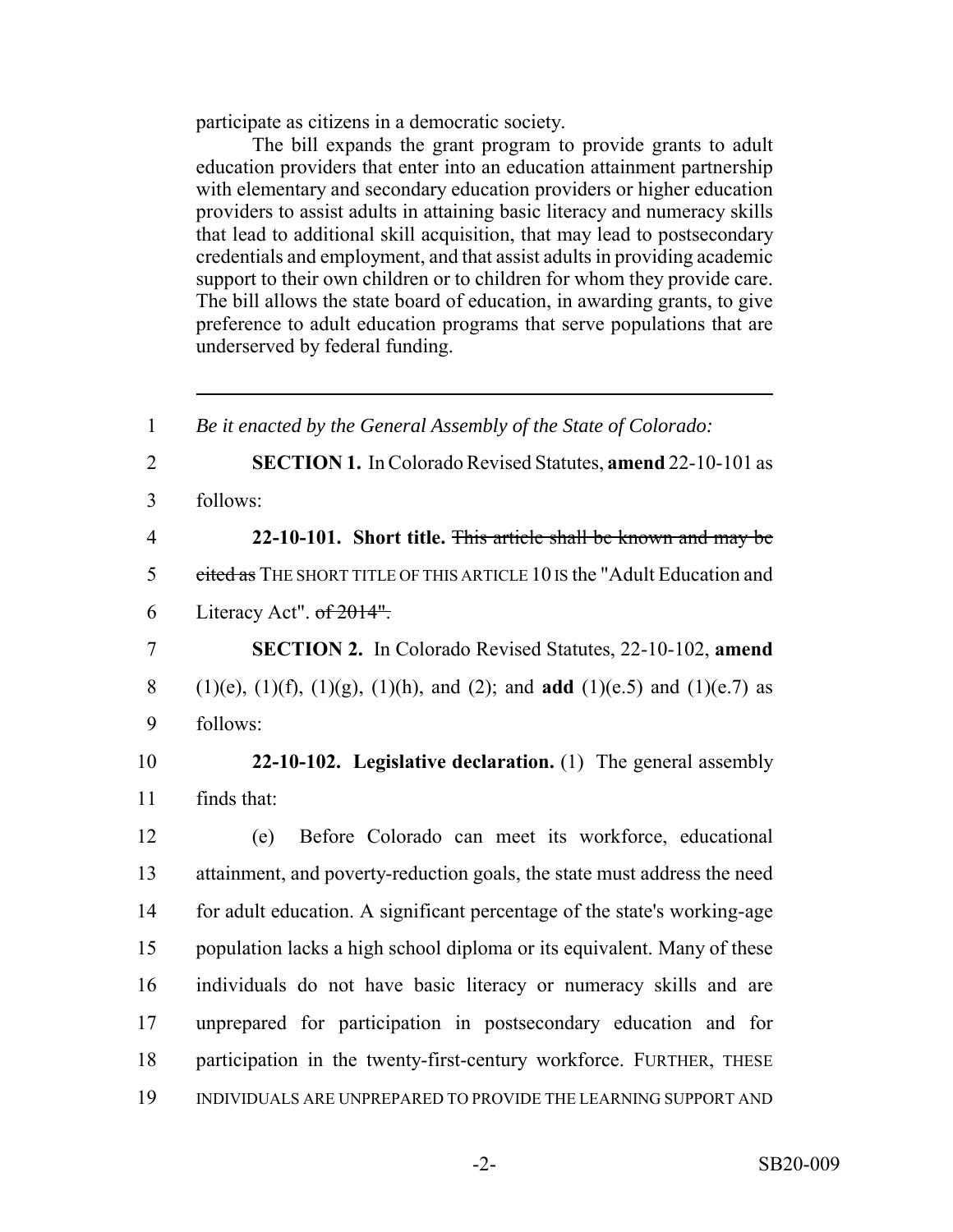participate as citizens in a democratic society.

The bill expands the grant program to provide grants to adult education providers that enter into an education attainment partnership with elementary and secondary education providers or higher education providers to assist adults in attaining basic literacy and numeracy skills that lead to additional skill acquisition, that may lead to postsecondary credentials and employment, and that assist adults in providing academic support to their own children or to children for whom they provide care. The bill allows the state board of education, in awarding grants, to give preference to adult education programs that serve populations that are underserved by federal funding.

 *Be it enacted by the General Assembly of the State of Colorado:* **SECTION 1.** In Colorado Revised Statutes, **amend** 22-10-101 as 3 follows: **22-10-101. Short title.** This article shall be known and may be 5 cited as THE SHORT TITLE OF THIS ARTICLE 10 IS the "Adult Education and 6 Literacy Act".  $of 2014$ ". **SECTION 2.** In Colorado Revised Statutes, 22-10-102, **amend** (1)(e), (1)(f), (1)(g), (1)(h), and (2); and **add** (1)(e.5) and (1)(e.7) as 9 follows: **22-10-102. Legislative declaration.** (1) The general assembly finds that: (e) Before Colorado can meet its workforce, educational attainment, and poverty-reduction goals, the state must address the need for adult education. A significant percentage of the state's working-age population lacks a high school diploma or its equivalent. Many of these individuals do not have basic literacy or numeracy skills and are unprepared for participation in postsecondary education and for participation in the twenty-first-century workforce. FURTHER, THESE INDIVIDUALS ARE UNPREPARED TO PROVIDE THE LEARNING SUPPORT AND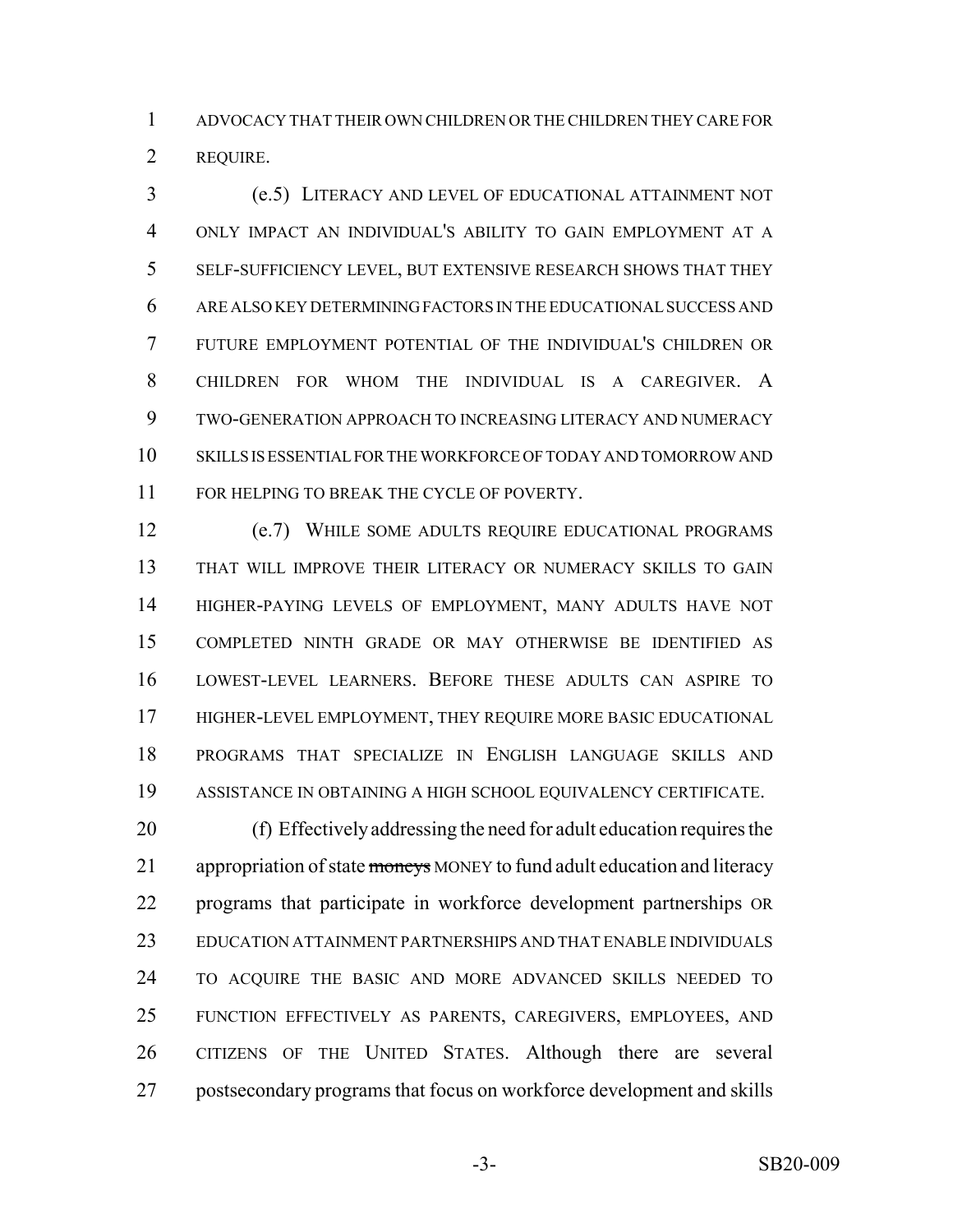ADVOCACY THAT THEIR OWN CHILDREN OR THE CHILDREN THEY CARE FOR REQUIRE.

 (e.5) LITERACY AND LEVEL OF EDUCATIONAL ATTAINMENT NOT ONLY IMPACT AN INDIVIDUAL'S ABILITY TO GAIN EMPLOYMENT AT A SELF-SUFFICIENCY LEVEL, BUT EXTENSIVE RESEARCH SHOWS THAT THEY ARE ALSO KEY DETERMINING FACTORS IN THE EDUCATIONAL SUCCESS AND FUTURE EMPLOYMENT POTENTIAL OF THE INDIVIDUAL'S CHILDREN OR CHILDREN FOR WHOM THE INDIVIDUAL IS A CAREGIVER. A TWO-GENERATION APPROACH TO INCREASING LITERACY AND NUMERACY SKILLS IS ESSENTIAL FOR THE WORKFORCE OF TODAY AND TOMORROW AND 11 FOR HELPING TO BREAK THE CYCLE OF POVERTY.

 (e.7) WHILE SOME ADULTS REQUIRE EDUCATIONAL PROGRAMS THAT WILL IMPROVE THEIR LITERACY OR NUMERACY SKILLS TO GAIN HIGHER-PAYING LEVELS OF EMPLOYMENT, MANY ADULTS HAVE NOT COMPLETED NINTH GRADE OR MAY OTHERWISE BE IDENTIFIED AS LOWEST-LEVEL LEARNERS. BEFORE THESE ADULTS CAN ASPIRE TO HIGHER-LEVEL EMPLOYMENT, THEY REQUIRE MORE BASIC EDUCATIONAL PROGRAMS THAT SPECIALIZE IN ENGLISH LANGUAGE SKILLS AND ASSISTANCE IN OBTAINING A HIGH SCHOOL EQUIVALENCY CERTIFICATE.

 (f) Effectively addressing the need for adult education requires the 21 appropriation of state moneys MONEY to fund adult education and literacy programs that participate in workforce development partnerships OR EDUCATION ATTAINMENT PARTNERSHIPS AND THAT ENABLE INDIVIDUALS TO ACQUIRE THE BASIC AND MORE ADVANCED SKILLS NEEDED TO FUNCTION EFFECTIVELY AS PARENTS, CAREGIVERS, EMPLOYEES, AND CITIZENS OF THE UNITED STATES. Although there are several postsecondary programs that focus on workforce development and skills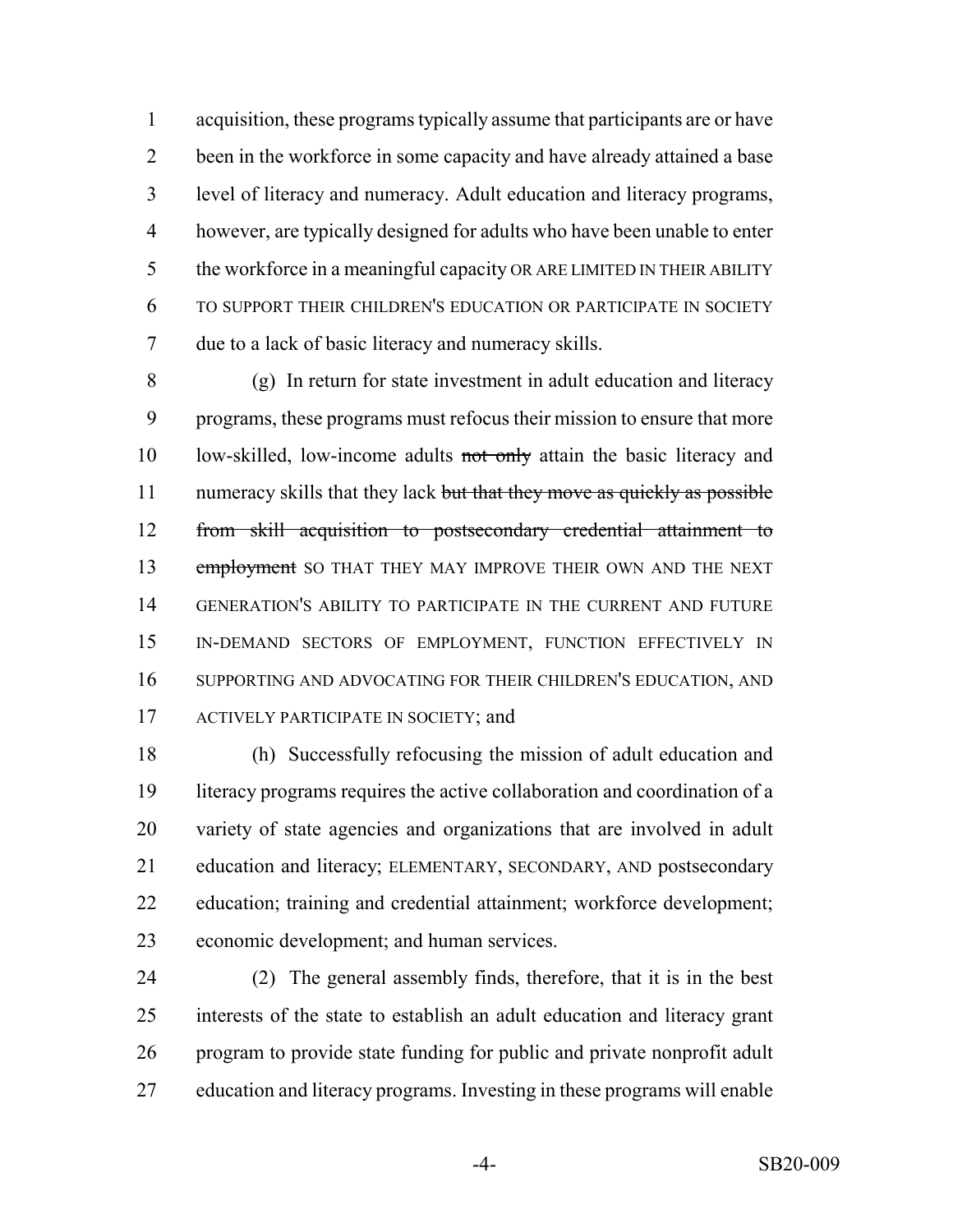acquisition, these programs typically assume that participants are or have been in the workforce in some capacity and have already attained a base level of literacy and numeracy. Adult education and literacy programs, however, are typically designed for adults who have been unable to enter the workforce in a meaningful capacity OR ARE LIMITED IN THEIR ABILITY TO SUPPORT THEIR CHILDREN'S EDUCATION OR PARTICIPATE IN SOCIETY due to a lack of basic literacy and numeracy skills.

 (g) In return for state investment in adult education and literacy programs, these programs must refocus their mission to ensure that more 10 low-skilled, low-income adults not only attain the basic literacy and 11 numeracy skills that they lack but that they move as quickly as possible from skill acquisition to postsecondary credential attainment to 13 employment SO THAT THEY MAY IMPROVE THEIR OWN AND THE NEXT GENERATION'S ABILITY TO PARTICIPATE IN THE CURRENT AND FUTURE IN-DEMAND SECTORS OF EMPLOYMENT, FUNCTION EFFECTIVELY IN SUPPORTING AND ADVOCATING FOR THEIR CHILDREN'S EDUCATION, AND 17 ACTIVELY PARTICIPATE IN SOCIETY; and

 (h) Successfully refocusing the mission of adult education and literacy programs requires the active collaboration and coordination of a variety of state agencies and organizations that are involved in adult education and literacy; ELEMENTARY, SECONDARY, AND postsecondary education; training and credential attainment; workforce development; economic development; and human services.

 (2) The general assembly finds, therefore, that it is in the best interests of the state to establish an adult education and literacy grant program to provide state funding for public and private nonprofit adult education and literacy programs. Investing in these programs will enable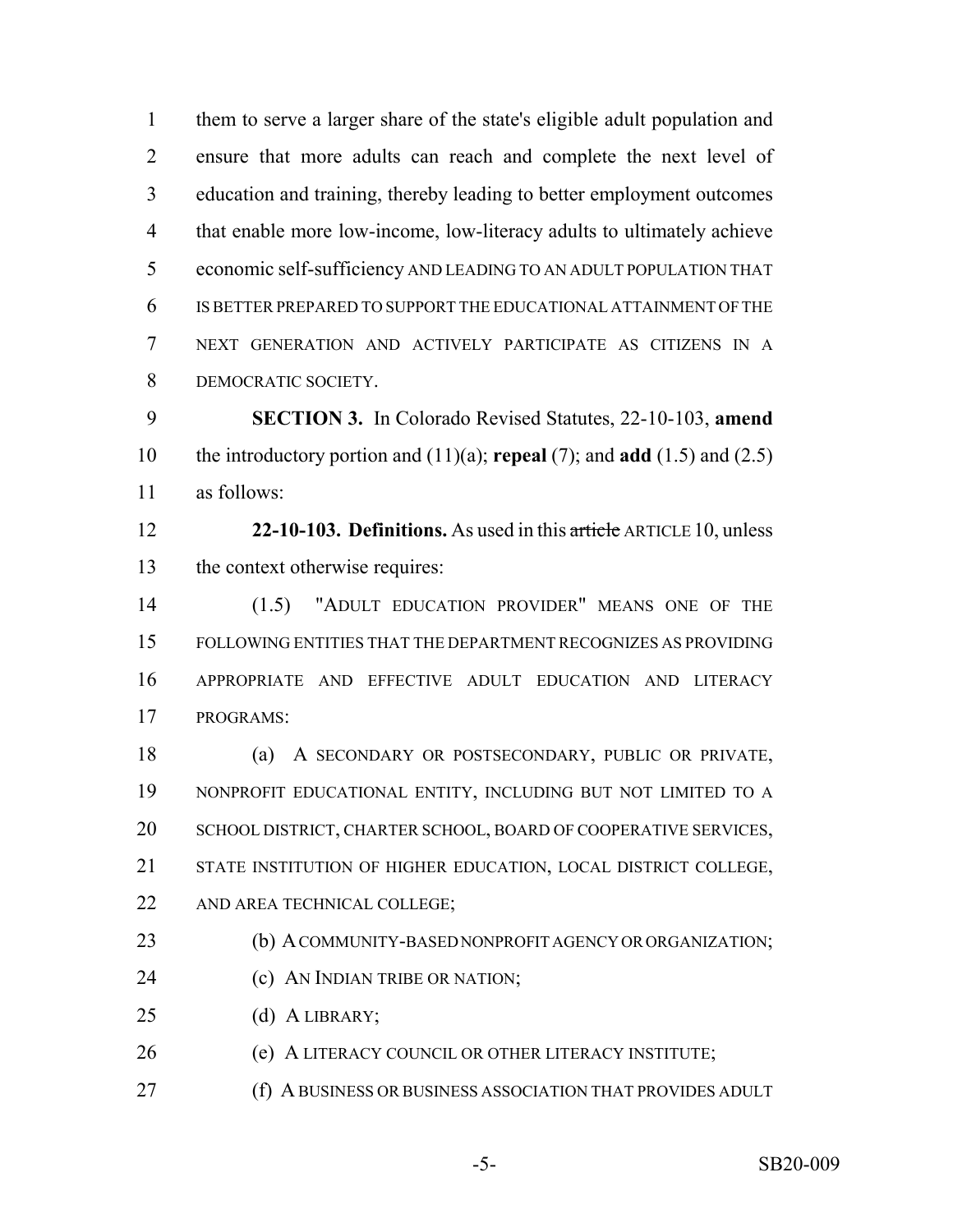them to serve a larger share of the state's eligible adult population and ensure that more adults can reach and complete the next level of education and training, thereby leading to better employment outcomes that enable more low-income, low-literacy adults to ultimately achieve economic self-sufficiency AND LEADING TO AN ADULT POPULATION THAT IS BETTER PREPARED TO SUPPORT THE EDUCATIONAL ATTAINMENT OF THE NEXT GENERATION AND ACTIVELY PARTICIPATE AS CITIZENS IN A DEMOCRATIC SOCIETY.

 **SECTION 3.** In Colorado Revised Statutes, 22-10-103, **amend** the introductory portion and (11)(a); **repeal** (7); and **add** (1.5) and (2.5) as follows:

 **22-10-103. Definitions.** As used in this article ARTICLE 10, unless the context otherwise requires:

 (1.5) "ADULT EDUCATION PROVIDER" MEANS ONE OF THE FOLLOWING ENTITIES THAT THE DEPARTMENT RECOGNIZES AS PROVIDING APPROPRIATE AND EFFECTIVE ADULT EDUCATION AND LITERACY PROGRAMS:

 (a) A SECONDARY OR POSTSECONDARY, PUBLIC OR PRIVATE, NONPROFIT EDUCATIONAL ENTITY, INCLUDING BUT NOT LIMITED TO A SCHOOL DISTRICT, CHARTER SCHOOL, BOARD OF COOPERATIVE SERVICES, STATE INSTITUTION OF HIGHER EDUCATION, LOCAL DISTRICT COLLEGE, AND AREA TECHNICAL COLLEGE;

**(b) A COMMUNITY-BASED NONPROFIT AGENCY OR ORGANIZATION;** 

- (c) AN INDIAN TRIBE OR NATION;
- 25 (d) A LIBRARY;
- (e) A LITERACY COUNCIL OR OTHER LITERACY INSTITUTE;
- **(f) A BUSINESS OR BUSINESS ASSOCIATION THAT PROVIDES ADULT**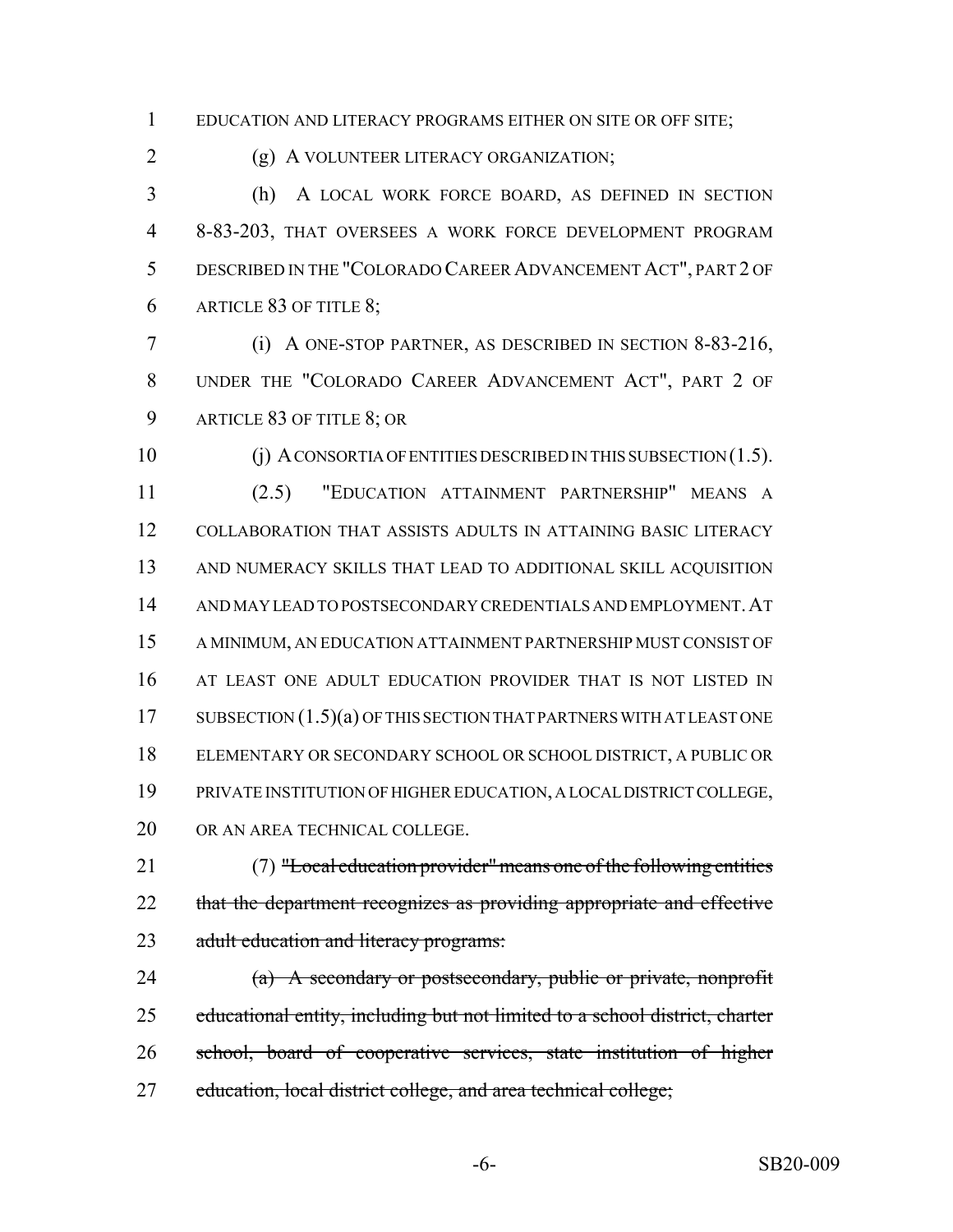EDUCATION AND LITERACY PROGRAMS EITHER ON SITE OR OFF SITE;

(g) A VOLUNTEER LITERACY ORGANIZATION;

 (h) A LOCAL WORK FORCE BOARD, AS DEFINED IN SECTION 8-83-203, THAT OVERSEES A WORK FORCE DEVELOPMENT PROGRAM DESCRIBED IN THE "COLORADO CAREER ADVANCEMENT ACT", PART 2 OF ARTICLE 83 OF TITLE 8;

 (i) A ONE-STOP PARTNER, AS DESCRIBED IN SECTION 8-83-216, UNDER THE "COLORADO CAREER ADVANCEMENT ACT", PART 2 OF ARTICLE 83 OF TITLE 8; OR

 (j) A CONSORTIA OF ENTITIES DESCRIBED IN THIS SUBSECTION (1.5). (2.5) "EDUCATION ATTAINMENT PARTNERSHIP" MEANS A COLLABORATION THAT ASSISTS ADULTS IN ATTAINING BASIC LITERACY AND NUMERACY SKILLS THAT LEAD TO ADDITIONAL SKILL ACQUISITION AND MAY LEAD TO POSTSECONDARY CREDENTIALS AND EMPLOYMENT.AT A MINIMUM, AN EDUCATION ATTAINMENT PARTNERSHIP MUST CONSIST OF AT LEAST ONE ADULT EDUCATION PROVIDER THAT IS NOT LISTED IN 17 SUBSECTION  $(1.5)(a)$  OF THIS SECTION THAT PARTNERS WITH AT LEAST ONE ELEMENTARY OR SECONDARY SCHOOL OR SCHOOL DISTRICT, A PUBLIC OR PRIVATE INSTITUTION OF HIGHER EDUCATION, A LOCAL DISTRICT COLLEGE, OR AN AREA TECHNICAL COLLEGE.

 (7) "Local education provider" means one of the following entities that the department recognizes as providing appropriate and effective 23 adult education and literacy programs:

 (a) A secondary or postsecondary, public or private, nonprofit educational entity, including but not limited to a school district, charter school, board of cooperative services, state institution of higher 27 education, local district college, and area technical college;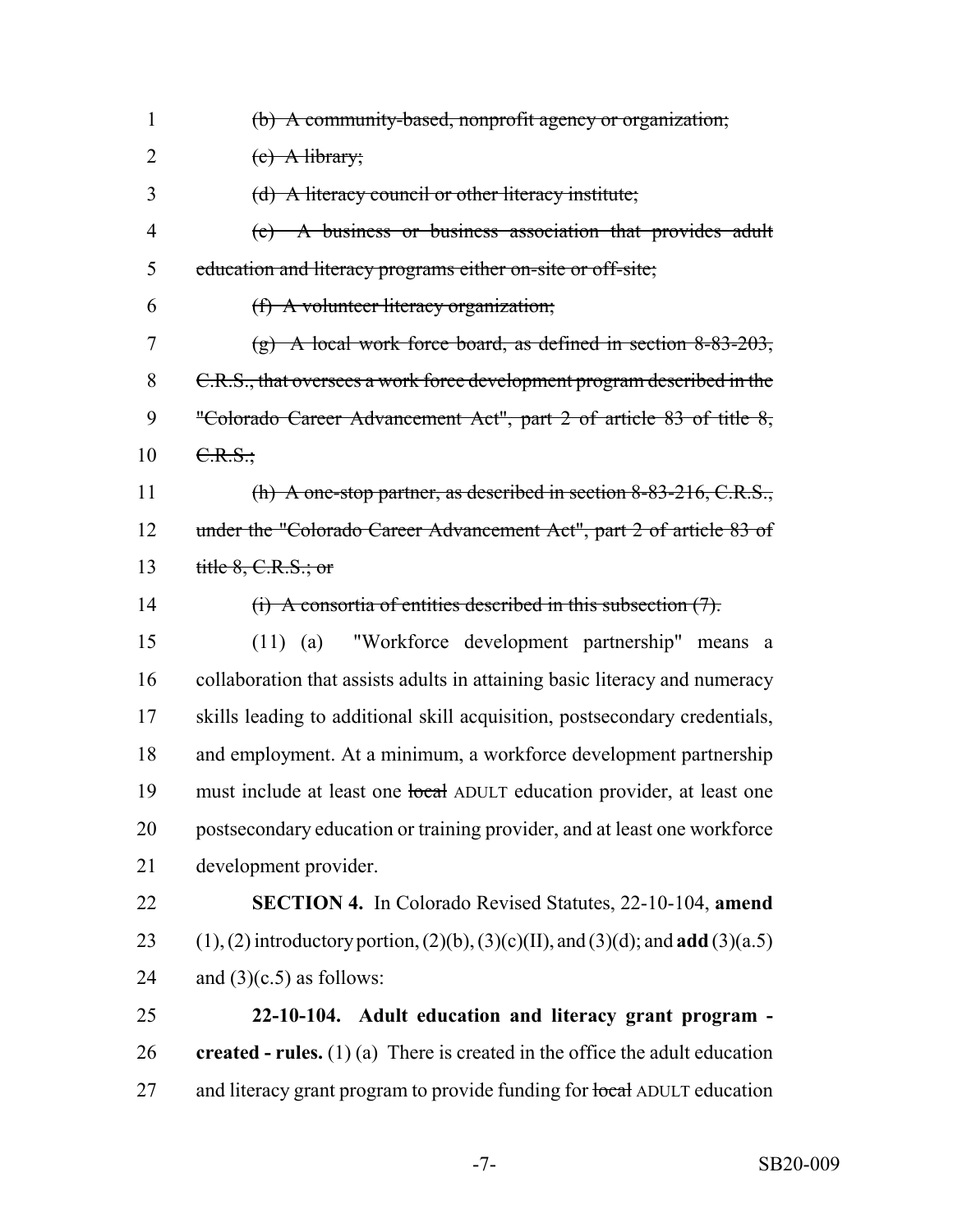| $\mathbf{1}$   | (b) A community-based, nonprofit agency or organization;                                               |
|----------------|--------------------------------------------------------------------------------------------------------|
| $\overline{2}$ | $(e)$ A library;                                                                                       |
| 3              | (d) A literacy council or other literacy institute;                                                    |
| $\overline{4}$ | (e) A business or business association that provides adult                                             |
| 5              | education and literacy programs either on-site or off-site;                                            |
| 6              | (f) A volunteer literacy organization;                                                                 |
| 7              | $(g)$ A local work force board, as defined in section 8-83-203,                                        |
| 8              | C.R.S., that oversees a work force development program described in the                                |
| 9              | "Colorado Career Advancement Act", part 2 of article 83 of title 8,                                    |
| 10             | C.R.S.                                                                                                 |
| 11             | (h) A one-stop partner, as described in section $8-83-216$ , C.R.S.,                                   |
| 12             | under the "Colorado Career Advancement Act", part 2 of article 83 of                                   |
| 13             | title $8, C.R.S.;$ or                                                                                  |
| 14             | (i) A consortia of entities described in this subsection $(7)$ .                                       |
| 15             | "Workforce development partnership" means a<br>$(11)$ (a)                                              |
| 16             | collaboration that assists adults in attaining basic literacy and numeracy                             |
| 17             | skills leading to additional skill acquisition, postsecondary credentials,                             |
| 18             | and employment. At a minimum, a workforce development partnership                                      |
| 19             | must include at least one local ADULT education provider, at least one                                 |
| 20             | postsecondary education or training provider, and at least one workforce                               |
| 21             | development provider.                                                                                  |
| 22             | <b>SECTION 4.</b> In Colorado Revised Statutes, 22-10-104, amend                                       |
| 23             | $(1)$ , $(2)$ introductory portion, $(2)(b)$ , $(3)(c)$ (II), and $(3)(d)$ ; and <b>add</b> $(3)(a.5)$ |
| 24             | and $(3)(c.5)$ as follows:                                                                             |
| 25             | 22-10-104. Adult education and literacy grant program -                                                |
| 26             | created - rules. $(1)$ (a) There is created in the office the adult education                          |
| 27             | and literacy grant program to provide funding for local ADULT education                                |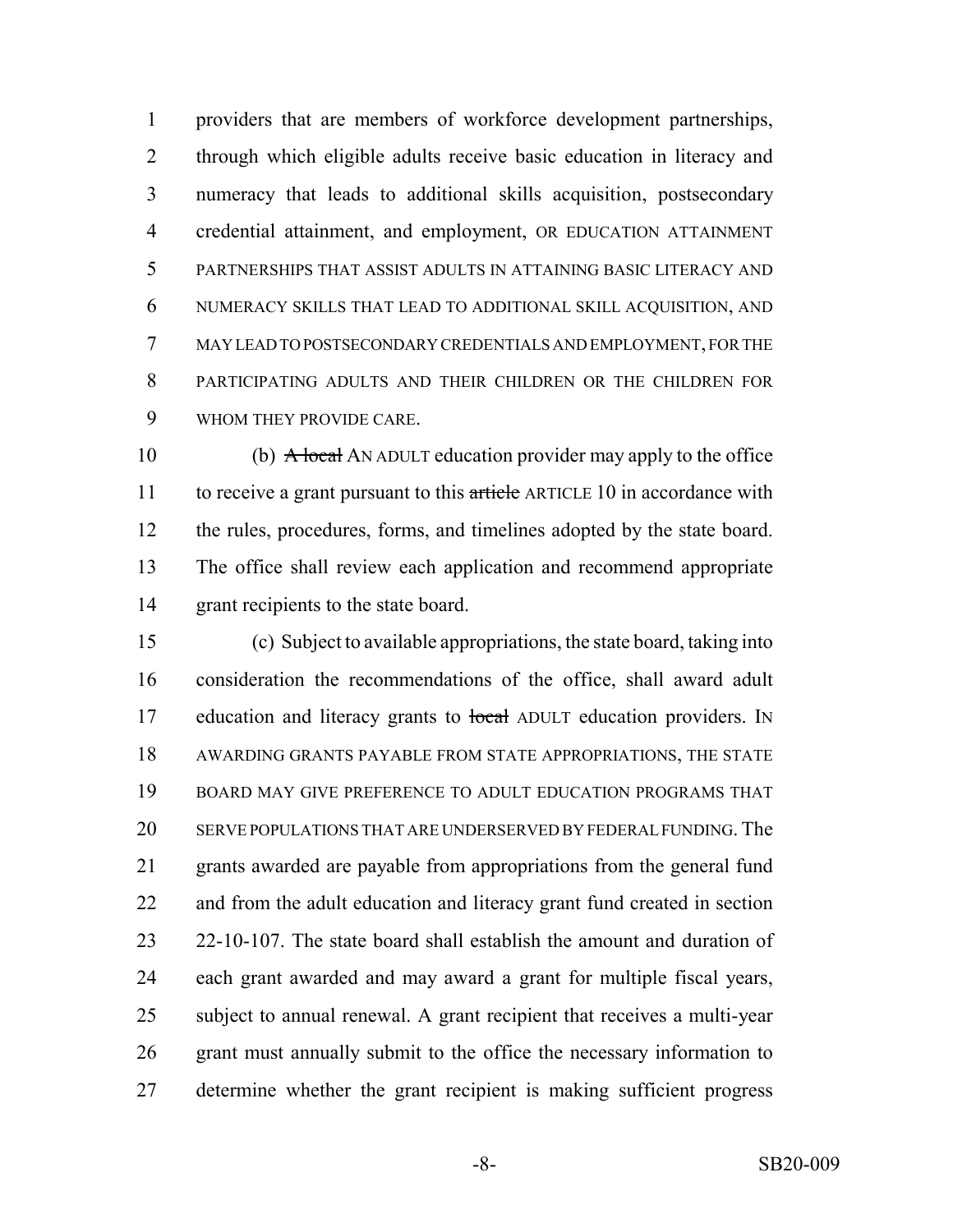providers that are members of workforce development partnerships, through which eligible adults receive basic education in literacy and numeracy that leads to additional skills acquisition, postsecondary credential attainment, and employment, OR EDUCATION ATTAINMENT PARTNERSHIPS THAT ASSIST ADULTS IN ATTAINING BASIC LITERACY AND NUMERACY SKILLS THAT LEAD TO ADDITIONAL SKILL ACQUISITION, AND MAY LEAD TO POSTSECONDARY CREDENTIALS AND EMPLOYMENT, FOR THE PARTICIPATING ADULTS AND THEIR CHILDREN OR THE CHILDREN FOR WHOM THEY PROVIDE CARE.

10 (b) A local AN ADULT education provider may apply to the office 11 to receive a grant pursuant to this article ARTICLE 10 in accordance with the rules, procedures, forms, and timelines adopted by the state board. The office shall review each application and recommend appropriate grant recipients to the state board.

 (c) Subject to available appropriations, the state board, taking into consideration the recommendations of the office, shall award adult 17 education and literacy grants to local ADULT education providers. IN AWARDING GRANTS PAYABLE FROM STATE APPROPRIATIONS, THE STATE BOARD MAY GIVE PREFERENCE TO ADULT EDUCATION PROGRAMS THAT SERVE POPULATIONS THAT ARE UNDERSERVED BY FEDERAL FUNDING. The grants awarded are payable from appropriations from the general fund and from the adult education and literacy grant fund created in section 22-10-107. The state board shall establish the amount and duration of each grant awarded and may award a grant for multiple fiscal years, subject to annual renewal. A grant recipient that receives a multi-year grant must annually submit to the office the necessary information to determine whether the grant recipient is making sufficient progress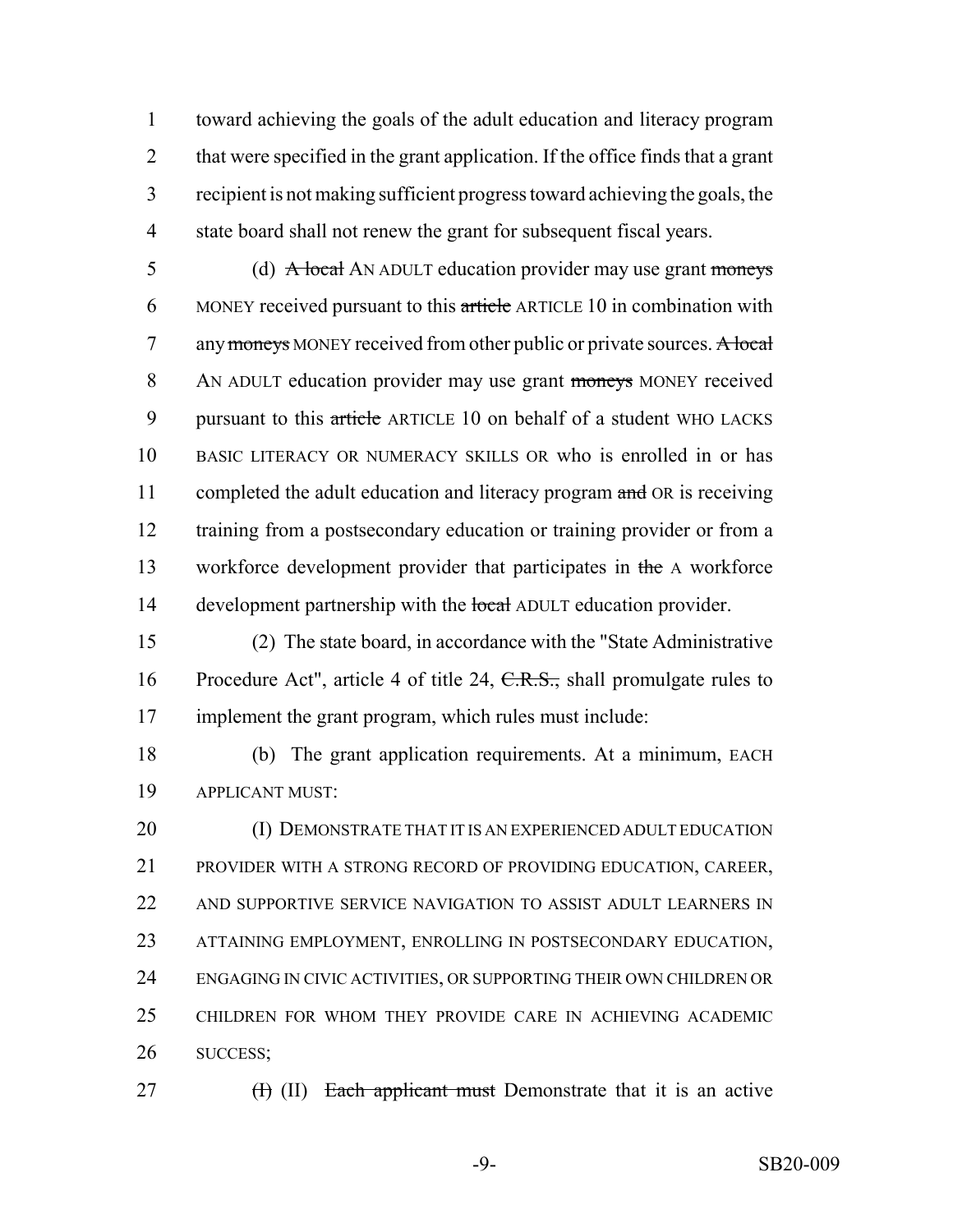toward achieving the goals of the adult education and literacy program 2 that were specified in the grant application. If the office finds that a grant recipient is not making sufficient progress toward achieving the goals, the state board shall not renew the grant for subsequent fiscal years.

5 (d) A local AN ADULT education provider may use grant moneys 6 MONEY received pursuant to this article ARTICLE 10 in combination with 7 any moneys MONEY received from other public or private sources. A local 8 AN ADULT education provider may use grant moneys MONEY received 9 pursuant to this article ARTICLE 10 on behalf of a student WHO LACKS 10 BASIC LITERACY OR NUMERACY SKILLS OR who is enrolled in or has 11 completed the adult education and literacy program and OR is receiving 12 training from a postsecondary education or training provider or from a 13 workforce development provider that participates in the A workforce 14 development partnership with the local ADULT education provider.

15 (2) The state board, in accordance with the "State Administrative 16 Procedure Act", article 4 of title 24, C.R.S., shall promulgate rules to 17 implement the grant program, which rules must include:

18 (b) The grant application requirements. At a minimum, EACH 19 APPLICANT MUST:

20 (I) DEMONSTRATE THAT IT IS AN EXPERIENCED ADULT EDUCATION PROVIDER WITH A STRONG RECORD OF PROVIDING EDUCATION, CAREER, AND SUPPORTIVE SERVICE NAVIGATION TO ASSIST ADULT LEARNERS IN ATTAINING EMPLOYMENT, ENROLLING IN POSTSECONDARY EDUCATION, ENGAGING IN CIVIC ACTIVITIES, OR SUPPORTING THEIR OWN CHILDREN OR CHILDREN FOR WHOM THEY PROVIDE CARE IN ACHIEVING ACADEMIC 26 SUCCESS;

27 (H) (II) Each applicant must Demonstrate that it is an active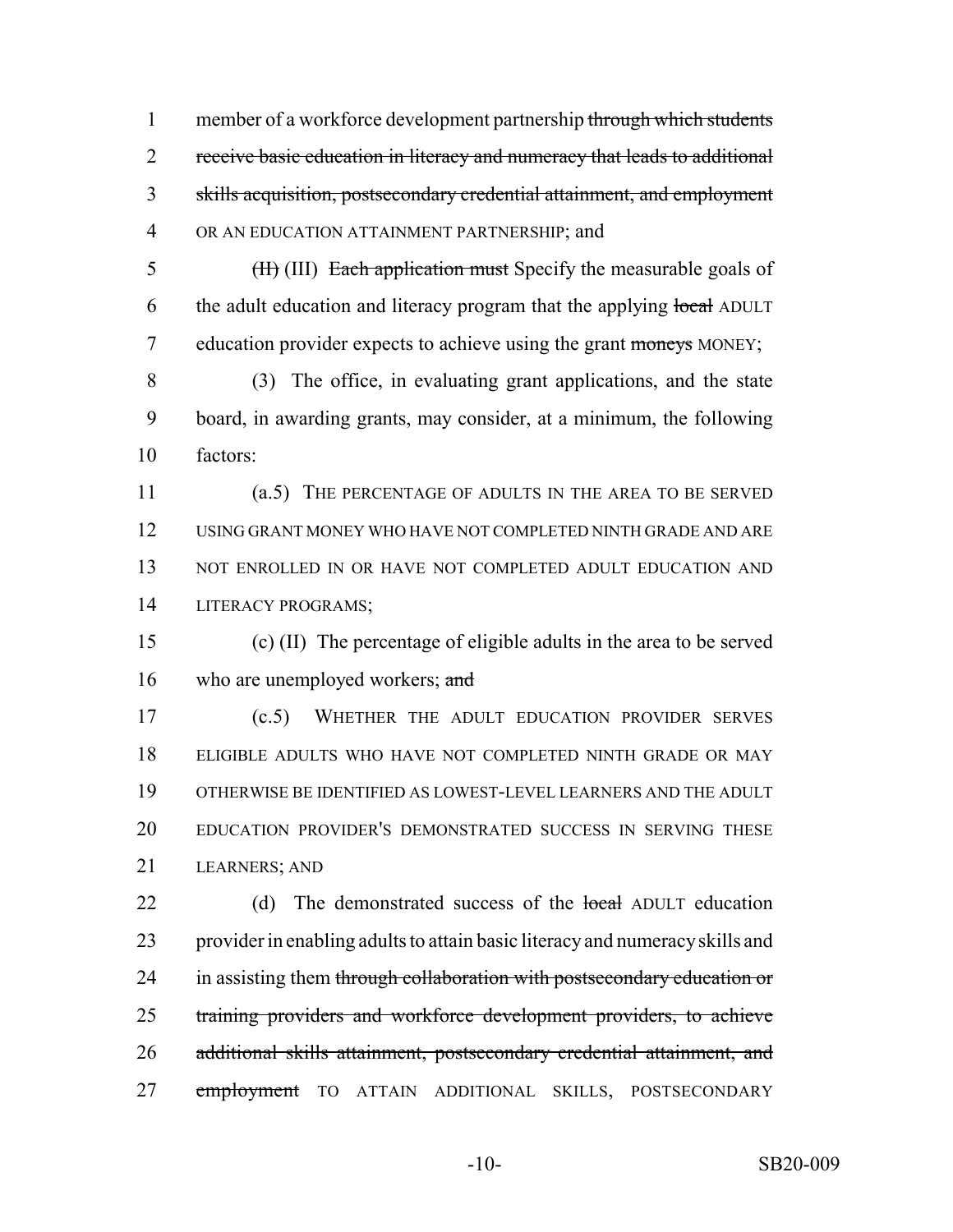member of a workforce development partnership through which students 2 receive basic education in literacy and numeracy that leads to additional skills acquisition, postsecondary credential attainment, and employment OR AN EDUCATION ATTAINMENT PARTNERSHIP; and

5 (II) (III) Each application must Specify the measurable goals of 6 the adult education and literacy program that the applying local ADULT 7 education provider expects to achieve using the grant moneys MONEY;

 (3) The office, in evaluating grant applications, and the state board, in awarding grants, may consider, at a minimum, the following factors:

 (a.5) THE PERCENTAGE OF ADULTS IN THE AREA TO BE SERVED USING GRANT MONEY WHO HAVE NOT COMPLETED NINTH GRADE AND ARE 13 NOT ENROLLED IN OR HAVE NOT COMPLETED ADULT EDUCATION AND LITERACY PROGRAMS;

 (c) (II) The percentage of eligible adults in the area to be served 16 who are unemployed workers; and

 (c.5) WHETHER THE ADULT EDUCATION PROVIDER SERVES ELIGIBLE ADULTS WHO HAVE NOT COMPLETED NINTH GRADE OR MAY OTHERWISE BE IDENTIFIED AS LOWEST-LEVEL LEARNERS AND THE ADULT EDUCATION PROVIDER'S DEMONSTRATED SUCCESS IN SERVING THESE LEARNERS; AND

22 (d) The demonstrated success of the local ADULT education provider in enabling adults to attain basic literacy and numeracy skills and 24 in assisting them through collaboration with postsecondary education or training providers and workforce development providers, to achieve additional skills attainment, postsecondary credential attainment, and 27 employment TO ATTAIN ADDITIONAL SKILLS, POSTSECONDARY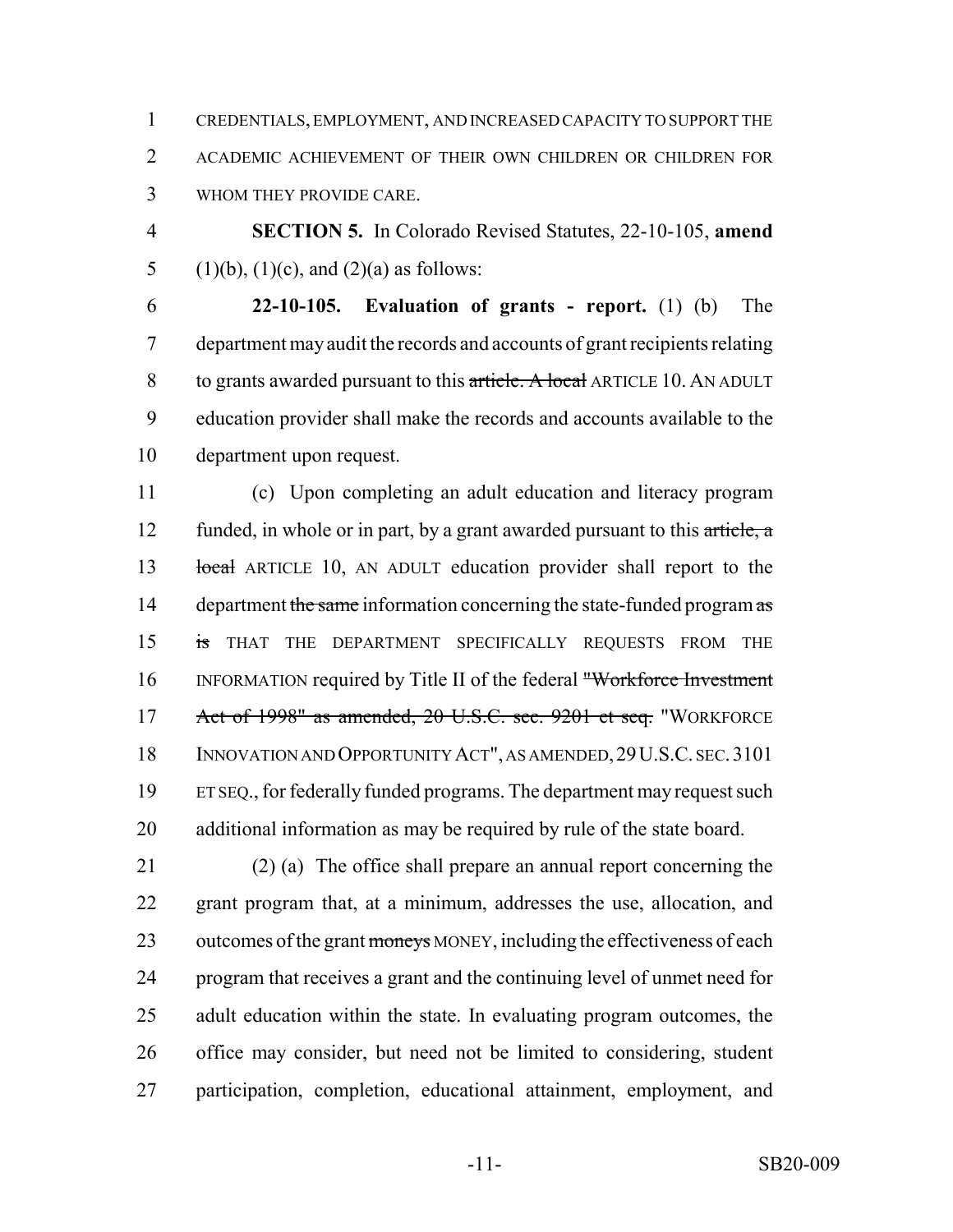CREDENTIALS, EMPLOYMENT, AND INCREASED CAPACITY TO SUPPORT THE ACADEMIC ACHIEVEMENT OF THEIR OWN CHILDREN OR CHILDREN FOR WHOM THEY PROVIDE CARE.

 **SECTION 5.** In Colorado Revised Statutes, 22-10-105, **amend** 5 (1)(b), (1)(c), and (2)(a) as follows:

 **22-10-105. Evaluation of grants - report.** (1) (b) The department may audit the records and accounts of grant recipients relating 8 to grants awarded pursuant to this article. A local ARTICLE 10. AN ADULT education provider shall make the records and accounts available to the department upon request.

 (c) Upon completing an adult education and literacy program 12 funded, in whole or in part, by a grant awarded pursuant to this article, a 13 local ARTICLE 10, AN ADULT education provider shall report to the 14 department the same information concerning the state-funded program as 15 is THAT THE DEPARTMENT SPECIFICALLY REQUESTS FROM THE INFORMATION required by Title II of the federal "Workforce Investment Act of 1998" as amended, 20 U.S.C. sec. 9201 et seq. "WORKFORCE INNOVATION AND OPPORTUNITY ACT", AS AMENDED,29U.S.C. SEC.3101 ET SEQ., for federally funded programs. The department may request such additional information as may be required by rule of the state board.

 (2) (a) The office shall prepare an annual report concerning the grant program that, at a minimum, addresses the use, allocation, and 23 outcomes of the grant moneys MONEY, including the effectiveness of each program that receives a grant and the continuing level of unmet need for adult education within the state. In evaluating program outcomes, the office may consider, but need not be limited to considering, student participation, completion, educational attainment, employment, and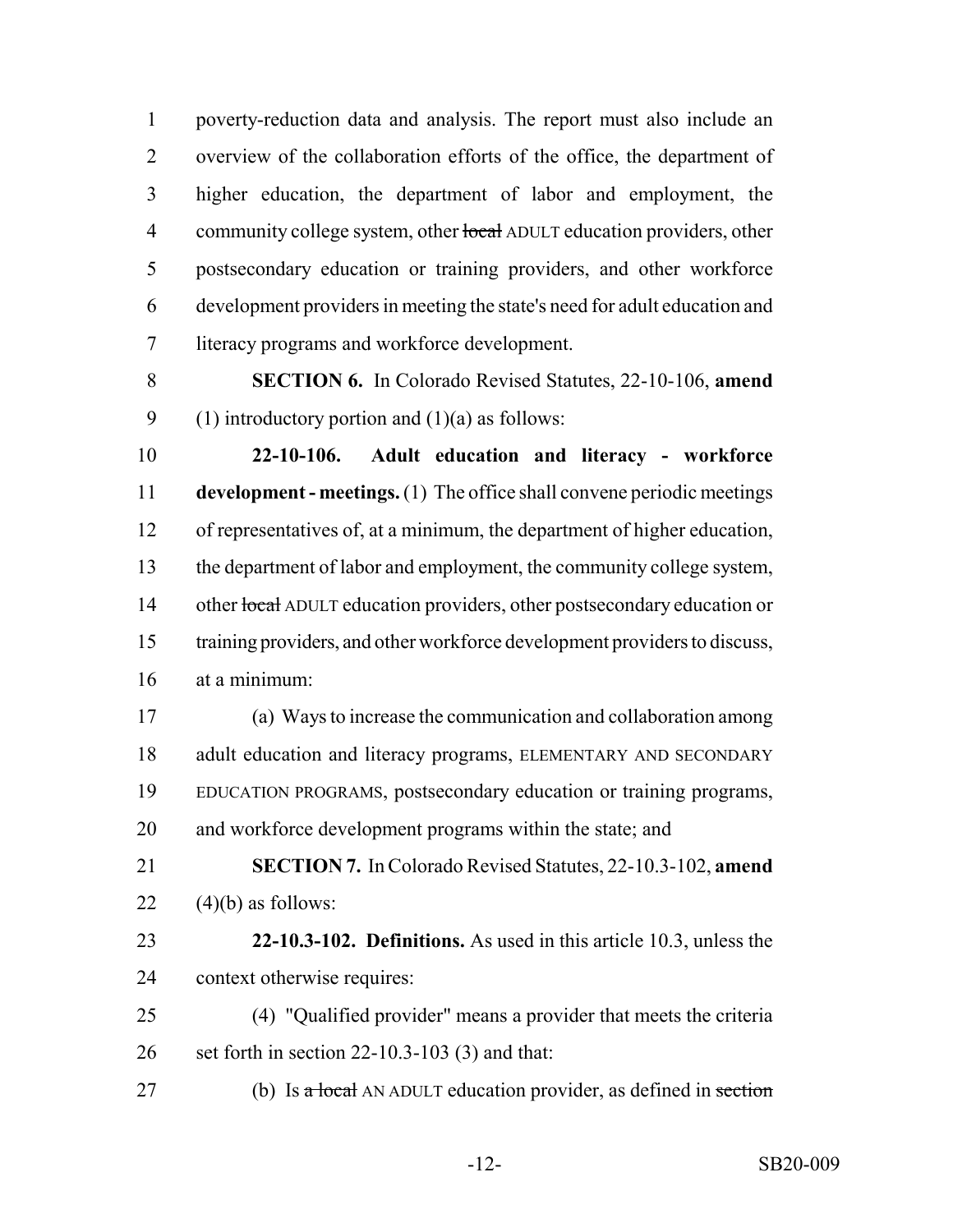poverty-reduction data and analysis. The report must also include an overview of the collaboration efforts of the office, the department of higher education, the department of labor and employment, the 4 community college system, other local ADULT education providers, other postsecondary education or training providers, and other workforce development providers in meeting the state's need for adult education and literacy programs and workforce development.

 **SECTION 6.** In Colorado Revised Statutes, 22-10-106, **amend** 9 (1) introductory portion and  $(1)(a)$  as follows:

 **22-10-106. Adult education and literacy - workforce development - meetings.** (1) The office shall convene periodic meetings of representatives of, at a minimum, the department of higher education, the department of labor and employment, the community college system, 14 other local ADULT education providers, other postsecondary education or training providers, and other workforce development providers to discuss, at a minimum:

 (a) Ways to increase the communication and collaboration among adult education and literacy programs, ELEMENTARY AND SECONDARY EDUCATION PROGRAMS, postsecondary education or training programs, and workforce development programs within the state; and

 **SECTION 7.** In Colorado Revised Statutes, 22-10.3-102, **amend** 22  $(4)(b)$  as follows:

 **22-10.3-102. Definitions.** As used in this article 10.3, unless the context otherwise requires:

 (4) "Qualified provider" means a provider that meets the criteria set forth in section 22-10.3-103 (3) and that:

27 (b) Is  $\alpha$  local AN ADULT education provider, as defined in section